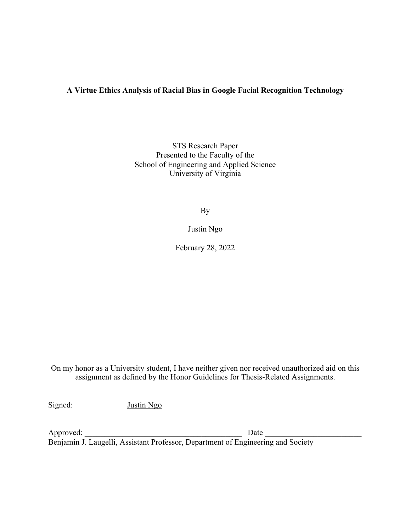# **A Virtue Ethics Analysis of Racial Bias in Google Facial Recognition Technology**

STS Research Paper Presented to the Faculty of the School of Engineering and Applied Science University of Virginia

By

Justin Ngo

February 28, 2022

On my honor as a University student, I have neither given nor received unauthorized aid on this assignment as defined by the Honor Guidelines for Thesis-Related Assignments.

Signed: \_\_\_\_\_\_\_\_\_\_\_\_\_Justin Ngo\_\_\_\_\_\_\_\_\_\_\_\_\_\_\_\_\_\_\_\_\_\_\_\_

Approved:  $\Box$ Benjamin J. Laugelli, Assistant Professor, Department of Engineering and Society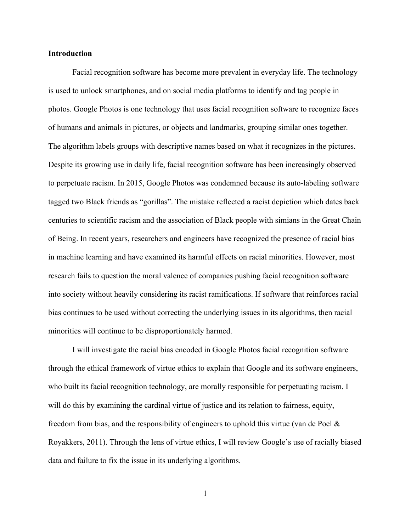# **Introduction**

Facial recognition software has become more prevalent in everyday life. The technology is used to unlock smartphones, and on social media platforms to identify and tag people in photos. Google Photos is one technology that uses facial recognition software to recognize faces of humans and animals in pictures, or objects and landmarks, grouping similar ones together. The algorithm labels groups with descriptive names based on what it recognizes in the pictures. Despite its growing use in daily life, facial recognition software has been increasingly observed to perpetuate racism. In 2015, Google Photos was condemned because its auto-labeling software tagged two Black friends as "gorillas". The mistake reflected a racist depiction which dates back centuries to scientific racism and the association of Black people with simians in the Great Chain of Being. In recent years, researchers and engineers have recognized the presence of racial bias in machine learning and have examined its harmful effects on racial minorities. However, most research fails to question the moral valence of companies pushing facial recognition software into society without heavily considering its racist ramifications. If software that reinforces racial bias continues to be used without correcting the underlying issues in its algorithms, then racial minorities will continue to be disproportionately harmed.

I will investigate the racial bias encoded in Google Photos facial recognition software through the ethical framework of virtue ethics to explain that Google and its software engineers, who built its facial recognition technology, are morally responsible for perpetuating racism. I will do this by examining the cardinal virtue of justice and its relation to fairness, equity, freedom from bias, and the responsibility of engineers to uphold this virtue (van de Poel & Royakkers, 2011). Through the lens of virtue ethics, I will review Google's use of racially biased data and failure to fix the issue in its underlying algorithms.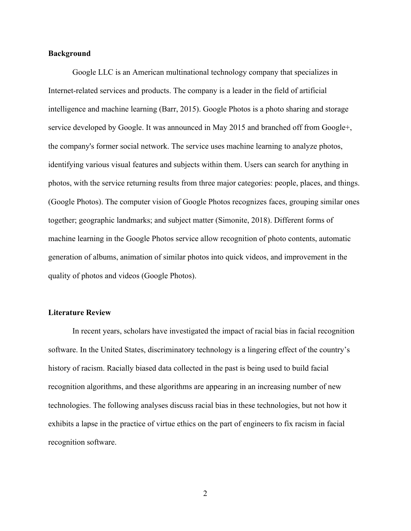# **Background**

Google LLC is an American multinational technology company that specializes in Internet-related services and products. The company is a leader in the field of artificial intelligence and machine learning (Barr, 2015). Google Photos is a photo sharing and storage service developed by Google. It was announced in May 2015 and branched off from Google+, the company's former social network. The service uses machine learning to analyze photos, identifying various visual features and subjects within them. Users can search for anything in photos, with the service returning results from three major categories: people, places, and things. (Google Photos). The computer vision of Google Photos recognizes faces, grouping similar ones together; geographic landmarks; and subject matter (Simonite, 2018). Different forms of machine learning in the Google Photos service allow recognition of photo contents, automatic generation of albums, animation of similar photos into quick videos, and improvement in the quality of photos and videos (Google Photos).

## **Literature Review**

In recent years, scholars have investigated the impact of racial bias in facial recognition software. In the United States, discriminatory technology is a lingering effect of the country's history of racism. Racially biased data collected in the past is being used to build facial recognition algorithms, and these algorithms are appearing in an increasing number of new technologies. The following analyses discuss racial bias in these technologies, but not how it exhibits a lapse in the practice of virtue ethics on the part of engineers to fix racism in facial recognition software.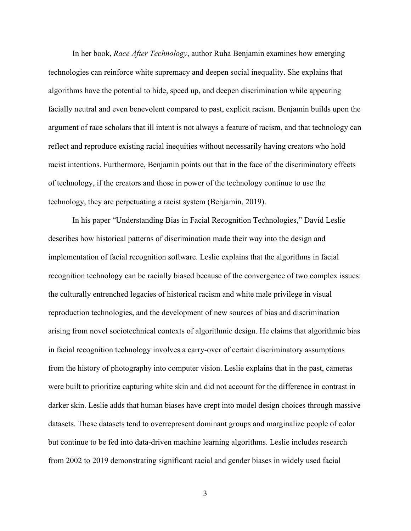In her book, *Race After Technology*, author Ruha Benjamin examines how emerging technologies can reinforce white supremacy and deepen social inequality. She explains that algorithms have the potential to hide, speed up, and deepen discrimination while appearing facially neutral and even benevolent compared to past, explicit racism. Benjamin builds upon the argument of race scholars that ill intent is not always a feature of racism, and that technology can reflect and reproduce existing racial inequities without necessarily having creators who hold racist intentions. Furthermore, Benjamin points out that in the face of the discriminatory effects of technology, if the creators and those in power of the technology continue to use the technology, they are perpetuating a racist system (Benjamin, 2019).

In his paper "Understanding Bias in Facial Recognition Technologies," David Leslie describes how historical patterns of discrimination made their way into the design and implementation of facial recognition software. Leslie explains that the algorithms in facial recognition technology can be racially biased because of the convergence of two complex issues: the culturally entrenched legacies of historical racism and white male privilege in visual reproduction technologies, and the development of new sources of bias and discrimination arising from novel sociotechnical contexts of algorithmic design. He claims that algorithmic bias in facial recognition technology involves a carry-over of certain discriminatory assumptions from the history of photography into computer vision. Leslie explains that in the past, cameras were built to prioritize capturing white skin and did not account for the difference in contrast in darker skin. Leslie adds that human biases have crept into model design choices through massive datasets. These datasets tend to overrepresent dominant groups and marginalize people of color but continue to be fed into data-driven machine learning algorithms. Leslie includes research from 2002 to 2019 demonstrating significant racial and gender biases in widely used facial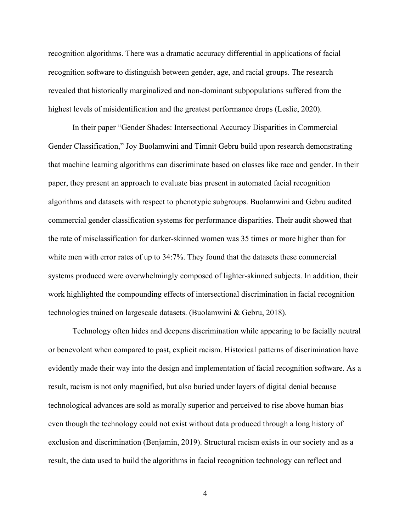recognition algorithms. There was a dramatic accuracy differential in applications of facial recognition software to distinguish between gender, age, and racial groups. The research revealed that historically marginalized and non-dominant subpopulations suffered from the highest levels of misidentification and the greatest performance drops (Leslie, 2020).

In their paper "Gender Shades: Intersectional Accuracy Disparities in Commercial Gender Classification," Joy Buolamwini and Timnit Gebru build upon research demonstrating that machine learning algorithms can discriminate based on classes like race and gender. In their paper, they present an approach to evaluate bias present in automated facial recognition algorithms and datasets with respect to phenotypic subgroups. Buolamwini and Gebru audited commercial gender classification systems for performance disparities. Their audit showed that the rate of misclassification for darker-skinned women was 35 times or more higher than for white men with error rates of up to 34:7%. They found that the datasets these commercial systems produced were overwhelmingly composed of lighter-skinned subjects. In addition, their work highlighted the compounding effects of intersectional discrimination in facial recognition technologies trained on largescale datasets. (Buolamwini & Gebru, 2018).

Technology often hides and deepens discrimination while appearing to be facially neutral or benevolent when compared to past, explicit racism. Historical patterns of discrimination have evidently made their way into the design and implementation of facial recognition software. As a result, racism is not only magnified, but also buried under layers of digital denial because technological advances are sold as morally superior and perceived to rise above human bias even though the technology could not exist without data produced through a long history of exclusion and discrimination (Benjamin, 2019). Structural racism exists in our society and as a result, the data used to build the algorithms in facial recognition technology can reflect and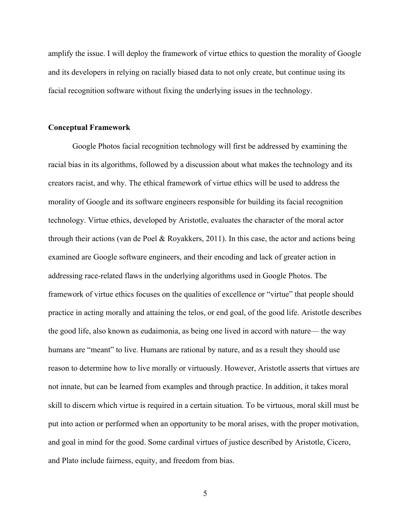amplify the issue. I will deploy the framework of virtue ethics to question the morality of Google and its developers in relying on racially biased data to not only create, but continue using its facial recognition software without fixing the underlying issues in the technology.

#### **Conceptual Framework**

Google Photos facial recognition technology will first be addressed by examining the racial bias in its algorithms, followed by a discussion about what makes the technology and its creators racist, and why. The ethical framework of virtue ethics will be used to address the morality of Google and its software engineers responsible for building its facial recognition technology. Virtue ethics, developed by Aristotle, evaluates the character of the moral actor through their actions (van de Poel & Royakkers, 2011). In this case, the actor and actions being examined are Google software engineers, and their encoding and lack of greater action in addressing race-related flaws in the underlying algorithms used in Google Photos. The framework of virtue ethics focuses on the qualities of excellence or "virtue" that people should practice in acting morally and attaining the telos, or end goal, of the good life. Aristotle describes the good life, also known as eudaimonia, as being one lived in accord with nature— the way humans are "meant" to live. Humans are rational by nature, and as a result they should use reason to determine how to live morally or virtuously. However, Aristotle asserts that virtues are not innate, but can be learned from examples and through practice. In addition, it takes moral skill to discern which virtue is required in a certain situation. To be virtuous, moral skill must be put into action or performed when an opportunity to be moral arises, with the proper motivation, and goal in mind for the good. Some cardinal virtues of justice described by Aristotle, Cicero, and Plato include fairness, equity, and freedom from bias.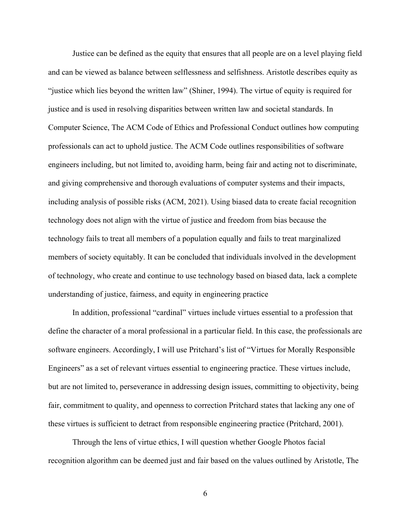Justice can be defined as the equity that ensures that all people are on a level playing field and can be viewed as balance between selflessness and selfishness. Aristotle describes equity as "justice which lies beyond the written law" (Shiner, 1994). The virtue of equity is required for justice and is used in resolving disparities between written law and societal standards. In Computer Science, The ACM Code of Ethics and Professional Conduct outlines how computing professionals can act to uphold justice. The ACM Code outlines responsibilities of software engineers including, but not limited to, avoiding harm, being fair and acting not to discriminate, and giving comprehensive and thorough evaluations of computer systems and their impacts, including analysis of possible risks (ACM, 2021). Using biased data to create facial recognition technology does not align with the virtue of justice and freedom from bias because the technology fails to treat all members of a population equally and fails to treat marginalized members of society equitably. It can be concluded that individuals involved in the development of technology, who create and continue to use technology based on biased data, lack a complete understanding of justice, fairness, and equity in engineering practice

In addition, professional "cardinal" virtues include virtues essential to a profession that define the character of a moral professional in a particular field. In this case, the professionals are software engineers. Accordingly, I will use Pritchard's list of "Virtues for Morally Responsible Engineers" as a set of relevant virtues essential to engineering practice. These virtues include, but are not limited to, perseverance in addressing design issues, committing to objectivity, being fair, commitment to quality, and openness to correction Pritchard states that lacking any one of these virtues is sufficient to detract from responsible engineering practice (Pritchard, 2001).

Through the lens of virtue ethics, I will question whether Google Photos facial recognition algorithm can be deemed just and fair based on the values outlined by Aristotle, The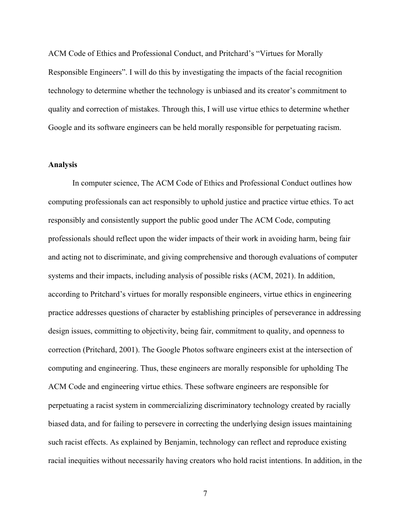ACM Code of Ethics and Professional Conduct, and Pritchard's "Virtues for Morally Responsible Engineers". I will do this by investigating the impacts of the facial recognition technology to determine whether the technology is unbiased and its creator's commitment to quality and correction of mistakes. Through this, I will use virtue ethics to determine whether Google and its software engineers can be held morally responsible for perpetuating racism.

#### **Analysis**

In computer science, The ACM Code of Ethics and Professional Conduct outlines how computing professionals can act responsibly to uphold justice and practice virtue ethics. To act responsibly and consistently support the public good under The ACM Code, computing professionals should reflect upon the wider impacts of their work in avoiding harm, being fair and acting not to discriminate, and giving comprehensive and thorough evaluations of computer systems and their impacts, including analysis of possible risks (ACM, 2021). In addition, according to Pritchard's virtues for morally responsible engineers, virtue ethics in engineering practice addresses questions of character by establishing principles of perseverance in addressing design issues, committing to objectivity, being fair, commitment to quality, and openness to correction (Pritchard, 2001). The Google Photos software engineers exist at the intersection of computing and engineering. Thus, these engineers are morally responsible for upholding The ACM Code and engineering virtue ethics. These software engineers are responsible for perpetuating a racist system in commercializing discriminatory technology created by racially biased data, and for failing to persevere in correcting the underlying design issues maintaining such racist effects. As explained by Benjamin, technology can reflect and reproduce existing racial inequities without necessarily having creators who hold racist intentions. In addition, in the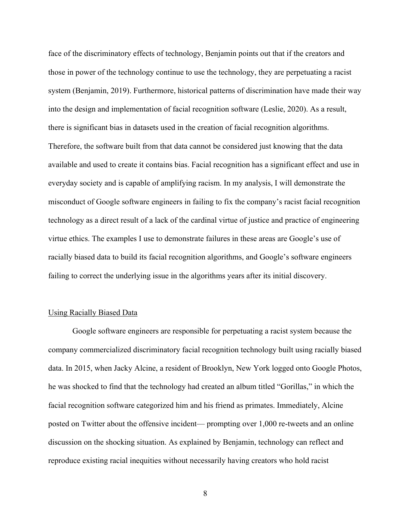face of the discriminatory effects of technology, Benjamin points out that if the creators and those in power of the technology continue to use the technology, they are perpetuating a racist system (Benjamin, 2019). Furthermore, historical patterns of discrimination have made their way into the design and implementation of facial recognition software (Leslie, 2020). As a result, there is significant bias in datasets used in the creation of facial recognition algorithms. Therefore, the software built from that data cannot be considered just knowing that the data available and used to create it contains bias. Facial recognition has a significant effect and use in everyday society and is capable of amplifying racism. In my analysis, I will demonstrate the misconduct of Google software engineers in failing to fix the company's racist facial recognition technology as a direct result of a lack of the cardinal virtue of justice and practice of engineering virtue ethics. The examples I use to demonstrate failures in these areas are Google's use of racially biased data to build its facial recognition algorithms, and Google's software engineers failing to correct the underlying issue in the algorithms years after its initial discovery.

## Using Racially Biased Data

Google software engineers are responsible for perpetuating a racist system because the company commercialized discriminatory facial recognition technology built using racially biased data. In 2015, when Jacky Alcine, a resident of Brooklyn, New York logged onto Google Photos, he was shocked to find that the technology had created an album titled "Gorillas," in which the facial recognition software categorized him and his friend as primates. Immediately, Alcine posted on Twitter about the offensive incident— prompting over 1,000 re-tweets and an online discussion on the shocking situation. As explained by Benjamin, technology can reflect and reproduce existing racial inequities without necessarily having creators who hold racist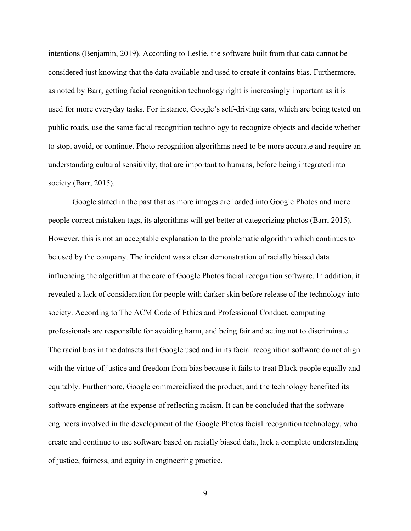intentions (Benjamin, 2019). According to Leslie, the software built from that data cannot be considered just knowing that the data available and used to create it contains bias. Furthermore, as noted by Barr, getting facial recognition technology right is increasingly important as it is used for more everyday tasks. For instance, Google's self-driving cars, which are being tested on public roads, use the same facial recognition technology to recognize objects and decide whether to stop, avoid, or continue. Photo recognition algorithms need to be more accurate and require an understanding cultural sensitivity, that are important to humans, before being integrated into society (Barr, 2015).

Google stated in the past that as more images are loaded into Google Photos and more people correct mistaken tags, its algorithms will get better at categorizing photos (Barr, 2015). However, this is not an acceptable explanation to the problematic algorithm which continues to be used by the company. The incident was a clear demonstration of racially biased data influencing the algorithm at the core of Google Photos facial recognition software. In addition, it revealed a lack of consideration for people with darker skin before release of the technology into society. According to The ACM Code of Ethics and Professional Conduct, computing professionals are responsible for avoiding harm, and being fair and acting not to discriminate. The racial bias in the datasets that Google used and in its facial recognition software do not align with the virtue of justice and freedom from bias because it fails to treat Black people equally and equitably. Furthermore, Google commercialized the product, and the technology benefited its software engineers at the expense of reflecting racism. It can be concluded that the software engineers involved in the development of the Google Photos facial recognition technology, who create and continue to use software based on racially biased data, lack a complete understanding of justice, fairness, and equity in engineering practice.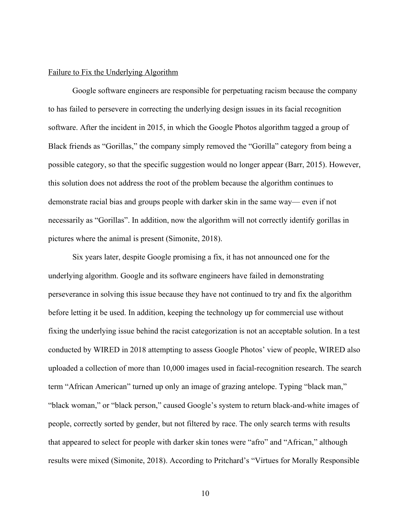## Failure to Fix the Underlying Algorithm

Google software engineers are responsible for perpetuating racism because the company to has failed to persevere in correcting the underlying design issues in its facial recognition software. After the incident in 2015, in which the Google Photos algorithm tagged a group of Black friends as "Gorillas," the company simply removed the "Gorilla" category from being a possible category, so that the specific suggestion would no longer appear (Barr, 2015). However, this solution does not address the root of the problem because the algorithm continues to demonstrate racial bias and groups people with darker skin in the same way— even if not necessarily as "Gorillas". In addition, now the algorithm will not correctly identify gorillas in pictures where the animal is present (Simonite, 2018).

Six years later, despite Google promising a fix, it has not announced one for the underlying algorithm. Google and its software engineers have failed in demonstrating perseverance in solving this issue because they have not continued to try and fix the algorithm before letting it be used. In addition, keeping the technology up for commercial use without fixing the underlying issue behind the racist categorization is not an acceptable solution. In a test conducted by WIRED in 2018 attempting to assess Google Photos' view of people, WIRED also uploaded a collection of more than 10,000 images used in facial-recognition research. The search term "African American" turned up only an image of grazing antelope. Typing "black man," "black woman," or "black person," caused Google's system to return black-and-white images of people, correctly sorted by gender, but not filtered by race. The only search terms with results that appeared to select for people with darker skin tones were "afro" and "African," although results were mixed (Simonite, 2018). According to Pritchard's "Virtues for Morally Responsible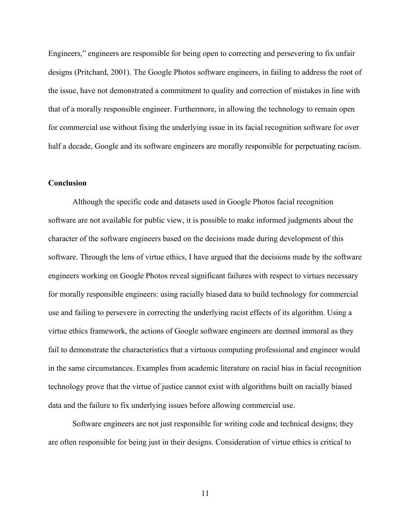Engineers," engineers are responsible for being open to correcting and persevering to fix unfair designs (Pritchard, 2001). The Google Photos software engineers, in failing to address the root of the issue, have not demonstrated a commitment to quality and correction of mistakes in line with that of a morally responsible engineer. Furthermore, in allowing the technology to remain open for commercial use without fixing the underlying issue in its facial recognition software for over half a decade, Google and its software engineers are morally responsible for perpetuating racism.

# **Conclusion**

Although the specific code and datasets used in Google Photos facial recognition software are not available for public view, it is possible to make informed judgments about the character of the software engineers based on the decisions made during development of this software. Through the lens of virtue ethics, I have argued that the decisions made by the software engineers working on Google Photos reveal significant failures with respect to virtues necessary for morally responsible engineers: using racially biased data to build technology for commercial use and failing to persevere in correcting the underlying racist effects of its algorithm. Using a virtue ethics framework, the actions of Google software engineers are deemed immoral as they fail to demonstrate the characteristics that a virtuous computing professional and engineer would in the same circumstances. Examples from academic literature on racial bias in facial recognition technology prove that the virtue of justice cannot exist with algorithms built on racially biased data and the failure to fix underlying issues before allowing commercial use.

Software engineers are not just responsible for writing code and technical designs; they are often responsible for being just in their designs. Consideration of virtue ethics is critical to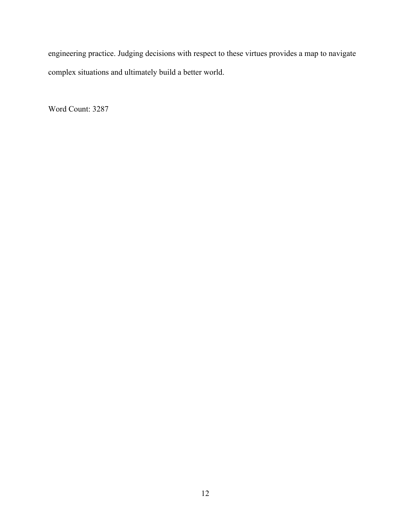engineering practice. Judging decisions with respect to these virtues provides a map to navigate complex situations and ultimately build a better world.

Word Count: 3287